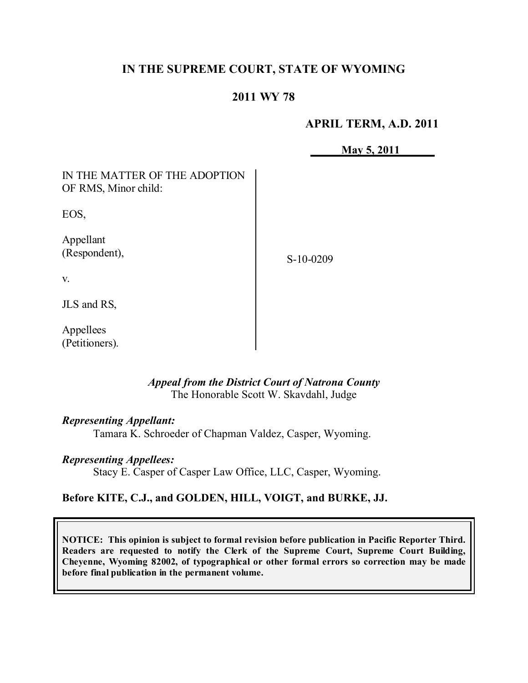# **IN THE SUPREME COURT, STATE OF WYOMING**

## **2011 WY 78**

### **APRIL TERM, A.D. 2011**

**May 5, 2011**

| IN THE MATTER OF THE ADOPTION<br>OF RMS, Minor child: |             |
|-------------------------------------------------------|-------------|
| EOS,                                                  |             |
| Appellant<br>(Respondent),                            | $S-10-0209$ |
| V.                                                    |             |
| JLS and RS,                                           |             |
| Annellees                                             |             |

### *Appeal from the District Court of Natrona County* The Honorable Scott W. Skavdahl, Judge

#### *Representing Appellant:*

Tamara K. Schroeder of Chapman Valdez, Casper, Wyoming.

#### *Representing Appellees:*

Stacy E. Casper of Casper Law Office, LLC, Casper, Wyoming.

### **Before KITE, C.J., and GOLDEN, HILL, VOIGT, and BURKE, JJ.**

**NOTICE: This opinion is subject to formal revision before publication in Pacific Reporter Third. Readers are requested to notify the Clerk of the Supreme Court, Supreme Court Building, Cheyenne, Wyoming 82002, of typographical or other formal errors so correction may be made before final publication in the permanent volume.**

Appellees (Petitioners).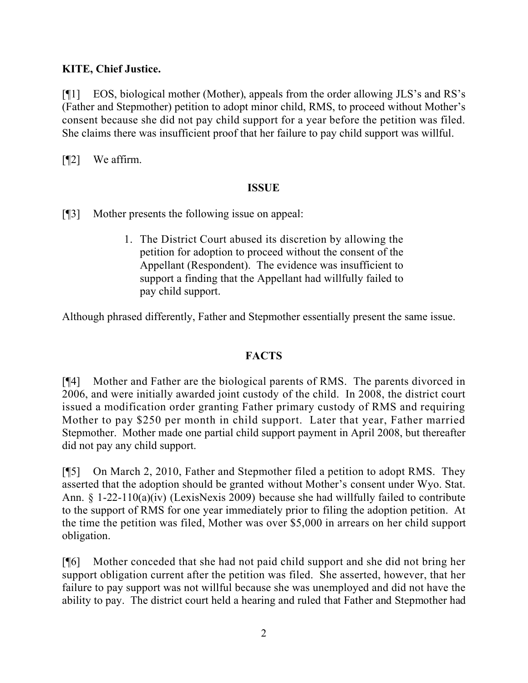# **KITE, Chief Justice.**

[¶1] EOS, biological mother (Mother), appeals from the order allowing JLS's and RS's (Father and Stepmother) petition to adopt minor child, RMS, to proceed without Mother's consent because she did not pay child support for a year before the petition was filed. She claims there was insufficient proof that her failure to pay child support was willful.

[¶2] We affirm.

## **ISSUE**

[¶3] Mother presents the following issue on appeal:

1. The District Court abused its discretion by allowing the petition for adoption to proceed without the consent of the Appellant (Respondent). The evidence was insufficient to support a finding that the Appellant had willfully failed to pay child support.

Although phrased differently, Father and Stepmother essentially present the same issue.

### **FACTS**

[¶4] Mother and Father are the biological parents of RMS. The parents divorced in 2006, and were initially awarded joint custody of the child. In 2008, the district court issued a modification order granting Father primary custody of RMS and requiring Mother to pay \$250 per month in child support. Later that year, Father married Stepmother. Mother made one partial child support payment in April 2008, but thereafter did not pay any child support.

[¶5] On March 2, 2010, Father and Stepmother filed a petition to adopt RMS. They asserted that the adoption should be granted without Mother's consent under Wyo. Stat. Ann. § 1-22-110(a)(iv) (LexisNexis 2009) because she had willfully failed to contribute to the support of RMS for one year immediately prior to filing the adoption petition. At the time the petition was filed, Mother was over \$5,000 in arrears on her child support obligation.

[¶6] Mother conceded that she had not paid child support and she did not bring her support obligation current after the petition was filed. She asserted, however, that her failure to pay support was not willful because she was unemployed and did not have the ability to pay. The district court held a hearing and ruled that Father and Stepmother had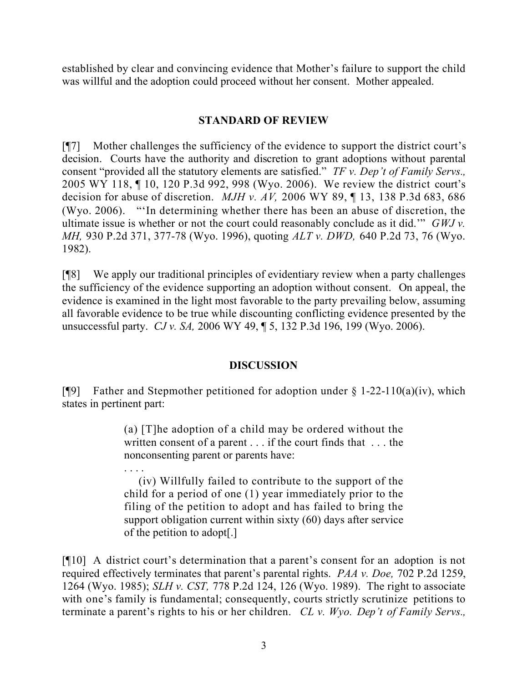established by clear and convincing evidence that Mother's failure to support the child was willful and the adoption could proceed without her consent. Mother appealed.

### **STANDARD OF REVIEW**

[¶7] Mother challenges the sufficiency of the evidence to support the district court's decision. Courts have the authority and discretion to grant adoptions without parental consent "provided all the statutory elements are satisfied." *TF v. Dep't of Family Servs.,*  2005 WY 118, ¶ 10, 120 P.3d 992, 998 (Wyo. 2006). We review the district court's decision for abuse of discretion. *MJH v. AV,* 2006 WY 89, ¶ 13, 138 P.3d 683, 686 (Wyo. 2006). "'In determining whether there has been an abuse of discretion, the ultimate issue is whether or not the court could reasonably conclude as it did.'" *GWJ v. MH,* 930 P.2d 371, 377-78 (Wyo. 1996), quoting *ALT v. DWD,* 640 P.2d 73, 76 (Wyo. 1982).

[¶8] We apply our traditional principles of evidentiary review when a party challenges the sufficiency of the evidence supporting an adoption without consent. On appeal, the evidence is examined in the light most favorable to the party prevailing below, assuming all favorable evidence to be true while discounting conflicting evidence presented by the unsuccessful party. *CJ v. SA,* 2006 WY 49, ¶ 5, 132 P.3d 196, 199 (Wyo. 2006).

# **DISCUSSION**

[ $[$ [9] Father and Stepmother petitioned for adoption under § 1-22-110(a)(iv), which states in pertinent part:

> (a) [T]he adoption of a child may be ordered without the written consent of a parent . . . if the court finds that . . . the nonconsenting parent or parents have:

> . . . . (iv) Willfully failed to contribute to the support of the child for a period of one (1) year immediately prior to the filing of the petition to adopt and has failed to bring the support obligation current within sixty (60) days after service of the petition to adopt[.]

[¶10] A district court's determination that a parent's consent for an adoption is not required effectively terminates that parent's parental rights. *PAA v. Doe,* 702 P.2d 1259, 1264 (Wyo. 1985); *SLH v. CST,* 778 P.2d 124, 126 (Wyo. 1989). The right to associate with one's family is fundamental; consequently, courts strictly scrutinize petitions to terminate a parent's rights to his or her children. *CL v. Wyo. Dep't of Family Servs.,*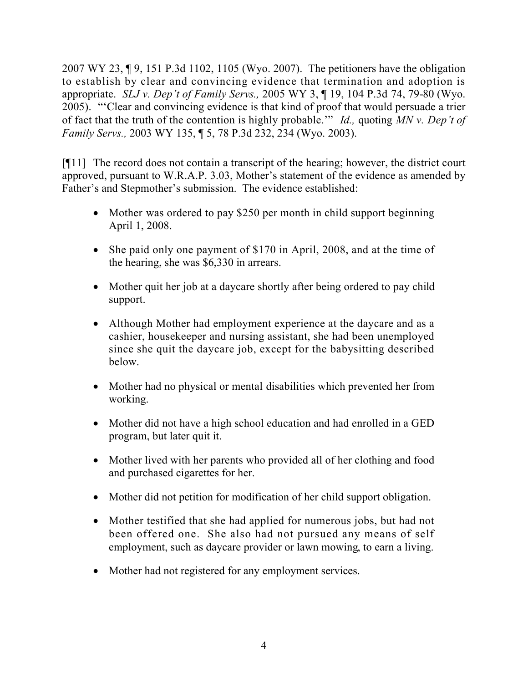2007 WY 23, ¶ 9, 151 P.3d 1102, 1105 (Wyo. 2007). The petitioners have the obligation to establish by clear and convincing evidence that termination and adoption is appropriate. *SLJ v. Dep't of Family Servs.,* 2005 WY 3, ¶ 19, 104 P.3d 74, 79-80 (Wyo. 2005). "'Clear and convincing evidence is that kind of proof that would persuade a trier of fact that the truth of the contention is highly probable.'" *Id.,* quoting *MN v. Dep't of Family Servs.,* 2003 WY 135, ¶ 5, 78 P.3d 232, 234 (Wyo. 2003).

[¶11] The record does not contain a transcript of the hearing; however, the district court approved, pursuant to W.R.A.P. 3.03, Mother's statement of the evidence as amended by Father's and Stepmother's submission. The evidence established:

- Mother was ordered to pay \$250 per month in child support beginning April 1, 2008.
- She paid only one payment of \$170 in April, 2008, and at the time of the hearing, she was \$6,330 in arrears.
- Mother quit her job at a daycare shortly after being ordered to pay child support.
- Although Mother had employment experience at the daycare and as a cashier, housekeeper and nursing assistant, she had been unemployed since she quit the daycare job, except for the babysitting described below.
- Mother had no physical or mental disabilities which prevented her from working.
- Mother did not have a high school education and had enrolled in a GED program, but later quit it.
- Mother lived with her parents who provided all of her clothing and food and purchased cigarettes for her.
- Mother did not petition for modification of her child support obligation.
- Mother testified that she had applied for numerous jobs, but had not been offered one. She also had not pursued any means of self employment, such as daycare provider or lawn mowing, to earn a living.
- Mother had not registered for any employment services.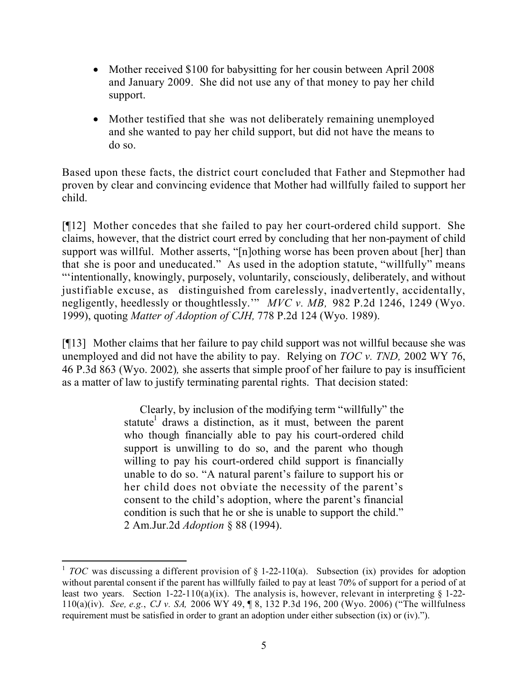- Mother received \$100 for babysitting for her cousin between April 2008 and January 2009. She did not use any of that money to pay her child support.
- Mother testified that she was not deliberately remaining unemployed and she wanted to pay her child support, but did not have the means to do so.

Based upon these facts, the district court concluded that Father and Stepmother had proven by clear and convincing evidence that Mother had willfully failed to support her child.

[¶12] Mother concedes that she failed to pay her court-ordered child support. She claims, however, that the district court erred by concluding that her non-payment of child support was willful. Mother asserts, "[n]othing worse has been proven about [her] than that she is poor and uneducated." As used in the adoption statute, "willfully" means "'intentionally, knowingly, purposely, voluntarily, consciously, deliberately, and without justifiable excuse, as distinguished from carelessly, inadvertently, accidentally, negligently, heedlessly or thoughtlessly.'" *MVC v. MB,* 982 P.2d 1246, 1249 (Wyo. 1999), quoting *Matter of Adoption of CJH,* 778 P.2d 124 (Wyo. 1989).

[¶13] Mother claims that her failure to pay child support was not willful because she was unemployed and did not have the ability to pay. Relying on *TOC v. TND,* 2002 WY 76, 46 P.3d 863 (Wyo. 2002)*,* she asserts that simple proof of her failure to pay is insufficient as a matter of law to justify terminating parental rights. That decision stated:

> Clearly, by inclusion of the modifying term "willfully" the statute<sup>1</sup> draws a distinction, as it must, between the parent who though financially able to pay his court-ordered child support is unwilling to do so, and the parent who though willing to pay his court-ordered child support is financially unable to do so. "A natural parent's failure to support his or her child does not obviate the necessity of the parent's consent to the child's adoption, where the parent's financial condition is such that he or she is unable to support the child." 2 Am.Jur.2d *Adoption* § 88 (1994).

<sup>&</sup>lt;sup>1</sup> *TOC* was discussing a different provision of § 1-22-110(a). Subsection (ix) provides for adoption without parental consent if the parent has willfully failed to pay at least 70% of support for a period of at least two years. Section 1-22-110(a)(ix). The analysis is, however, relevant in interpreting  $\S$  1-22-110(a)(iv). *See, e.g.*, *CJ v. SA,* 2006 WY 49, ¶ 8, 132 P.3d 196, 200 (Wyo. 2006) ("The willfulness requirement must be satisfied in order to grant an adoption under either subsection (ix) or (iv).").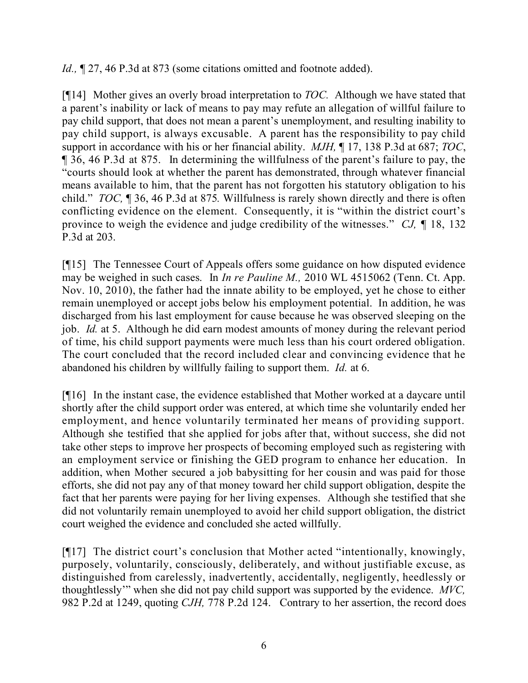*Id.*,  $\sim$  27, 46 P.3d at 873 (some citations omitted and footnote added).

[¶14] Mother gives an overly broad interpretation to *TOC.* Although we have stated that a parent's inability or lack of means to pay may refute an allegation of willful failure to pay child support, that does not mean a parent's unemployment, and resulting inability to pay child support, is always excusable. A parent has the responsibility to pay child support in accordance with his or her financial ability. *MJH,* ¶ 17, 138 P.3d at 687; *TOC*, ¶ 36, 46 P.3d at 875. In determining the willfulness of the parent's failure to pay, the "courts should look at whether the parent has demonstrated, through whatever financial means available to him, that the parent has not forgotten his statutory obligation to his child." *TOC,* ¶ 36, 46 P.3d at 875*.* Willfulness is rarely shown directly and there is often conflicting evidence on the element. Consequently, it is "within the district court's province to weigh the evidence and judge credibility of the witnesses." *CJ,* ¶ 18, 132 P.3d at 203.

[¶15] The Tennessee Court of Appeals offers some guidance on how disputed evidence may be weighed in such cases. In *In re Pauline M.,* 2010 WL 4515062 (Tenn. Ct. App. Nov. 10, 2010), the father had the innate ability to be employed, yet he chose to either remain unemployed or accept jobs below his employment potential. In addition, he was discharged from his last employment for cause because he was observed sleeping on the job. *Id.* at 5. Although he did earn modest amounts of money during the relevant period of time, his child support payments were much less than his court ordered obligation. The court concluded that the record included clear and convincing evidence that he abandoned his children by willfully failing to support them. *Id.* at 6.

[¶16] In the instant case, the evidence established that Mother worked at a daycare until shortly after the child support order was entered, at which time she voluntarily ended her employment, and hence voluntarily terminated her means of providing support. Although she testified that she applied for jobs after that, without success, she did not take other steps to improve her prospects of becoming employed such as registering with an employment service or finishing the GED program to enhance her education. In addition, when Mother secured a job babysitting for her cousin and was paid for those efforts, she did not pay any of that money toward her child support obligation, despite the fact that her parents were paying for her living expenses. Although she testified that she did not voluntarily remain unemployed to avoid her child support obligation, the district court weighed the evidence and concluded she acted willfully.

[¶17] The district court's conclusion that Mother acted "intentionally, knowingly, purposely, voluntarily, consciously, deliberately, and without justifiable excuse, as distinguished from carelessly, inadvertently, accidentally, negligently, heedlessly or thoughtlessly'" when she did not pay child support was supported by the evidence. *MVC,*  982 P.2d at 1249, quoting *CJH,* 778 P.2d 124. Contrary to her assertion, the record does